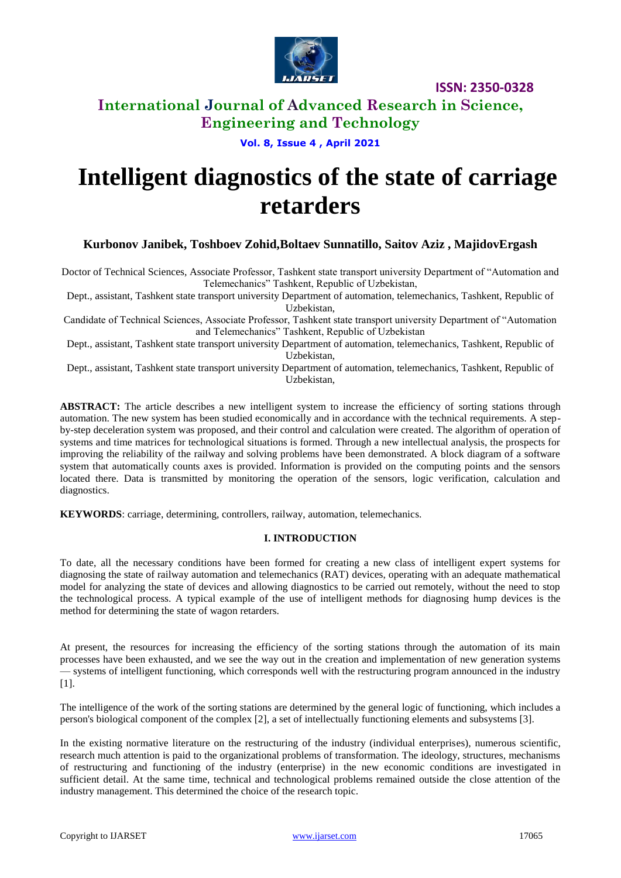

# **International Journal of Advanced Research in Science, Engineering and Technology**

**Vol. 8, Issue 4 , April 2021**

# **Intelligent diagnostics of the state of carriage retarders**

**Kurbonov Janibek, Toshboev Zohid,Boltaev Sunnatillo, Saitov Aziz , MajidovErgash**

Doctor of Technical Sciences, Associate Professor, Tashkent state transport university Department of "Automation and Telemechanics" Tashkent, Republic of Uzbekistan,

Dept., assistant, Tashkent state transport university Department of automation, telemechanics, Tashkent, Republic of Uzbekistan,

Candidate of Technical Sciences, Associate Professor, Tashkent state transport university Department of "Automation and Telemechanics" Tashkent, Republic of Uzbekistan

Dept., assistant, Tashkent state transport university Department of automation, telemechanics, Tashkent, Republic of Uzbekistan,

Dept., assistant, Tashkent state transport university Department of automation, telemechanics, Tashkent, Republic of Uzbekistan,

**ABSTRACT:** The article describes a new intelligent system to increase the efficiency of sorting stations through automation. The new system has been studied economically and in accordance with the technical requirements. A stepby-step deceleration system was proposed, and their control and calculation were created. The algorithm of operation of systems and time matrices for technological situations is formed. Through a new intellectual analysis, the prospects for improving the reliability of the railway and solving problems have been demonstrated. A block diagram of a software system that automatically counts axes is provided. Information is provided on the computing points and the sensors located there. Data is transmitted by monitoring the operation of the sensors, logic verification, calculation and diagnostics.

**KEYWORDS**: carriage, determining, controllers, railway, automation, telemechanics.

### **I. INTRODUCTION**

To date, all the necessary conditions have been formed for creating a new class of intelligent expert systems for diagnosing the state of railway automation and telemechanics (RAT) devices, operating with an adequate mathematical model for analyzing the state of devices and allowing diagnostics to be carried out remotely, without the need to stop the technological process. A typical example of the use of intelligent methods for diagnosing hump devices is the method for determining the state of wagon retarders.

At present, the resources for increasing the efficiency of the sorting stations through the automation of its main processes have been exhausted, and we see the way out in the creation and implementation of new generation systems — systems of intelligent functioning, which corresponds well with the restructuring program announced in the industry [1].

The intelligence of the work of the sorting stations are determined by the general logic of functioning, which includes a person's biological component of the complex [2], a set of intellectually functioning elements and subsystems [3].

In the existing normative literature on the restructuring of the industry (individual enterprises), numerous scientific, research much attention is paid to the organizational problems of transformation. The ideology, structures, mechanisms of restructuring and functioning of the industry (enterprise) in the new economic conditions are investigated in sufficient detail. At the same time, technical and technological problems remained outside the close attention of the industry management. This determined the choice of the research topic.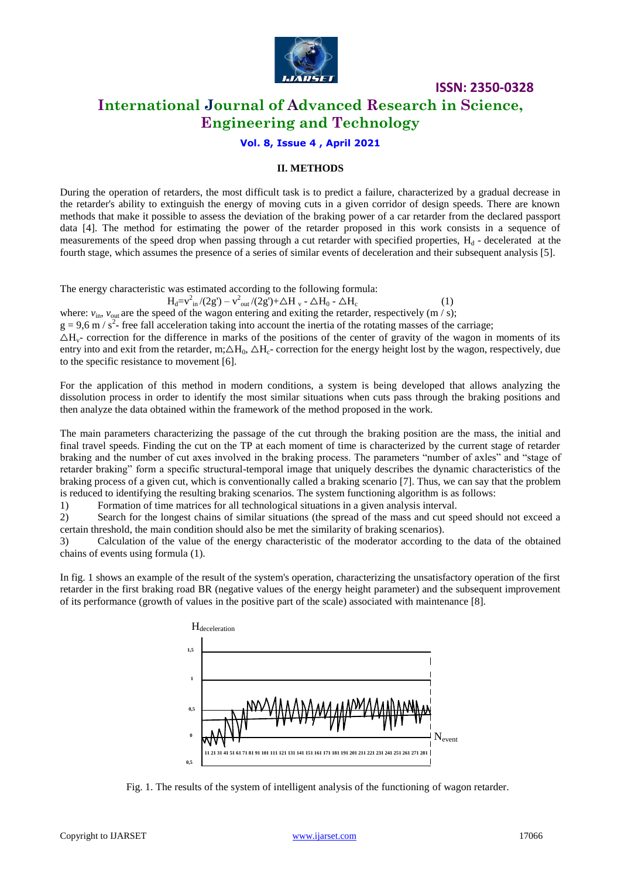

# **International Journal of Advanced Research in Science, Engineering and Technology**

#### **Vol. 8, Issue 4 , April 2021**

#### **II. METHODS**

During the operation of retarders, the most difficult task is to predict a failure, characterized by a gradual decrease in the retarder's ability to extinguish the energy of moving cuts in a given corridor of design speeds. There are known methods that make it possible to assess the deviation of the braking power of a car retarder from the declared passport data [4]. The method for estimating the power of the retarder proposed in this work consists in a sequence of measurements of the speed drop when passing through a cut retarder with specified properties,  $H_d$  - decelerated at the fourth stage, which assumes the presence of a series of similar events of deceleration and their subsequent analysis [5].

The energy characteristic was estimated according to the following formula:

$$
H_{d}\!\!=\!\!v_{\rm in}^{2}/(2g')-v_{\rm out}^{2}/(2g')\!\!+\!\!\triangle H_{v}\text{-}\triangle H_{0}\text{-}\triangle H_{c}
$$

(1)

where:  $v_{\text{in}}$ ,  $v_{\text{out}}$  are the speed of the wagon entering and exiting the retarder, respectively (m / s);

 $g = 9.6$  m / s<sup>2</sup> free fall acceleration taking into account the inertia of the rotating masses of the carriage;

 $\Delta H_v$ - correction for the difference in marks of the positions of the center of gravity of the wagon in moments of its entry into and exit from the retarder, m;  $\Delta H_0$ ,  $\Delta H_c$ - correction for the energy height lost by the wagon, respectively, due to the specific resistance to movement [6].

For the application of this method in modern conditions, a system is being developed that allows analyzing the dissolution process in order to identify the most similar situations when cuts pass through the braking positions and then analyze the data obtained within the framework of the method proposed in the work.

The main parameters characterizing the passage of the cut through the braking position are the mass, the initial and final travel speeds. Finding the cut on the TP at each moment of time is characterized by the current stage of retarder braking and the number of cut axes involved in the braking process. The parameters "number of axles" and "stage of retarder braking" form a specific structural-temporal image that uniquely describes the dynamic characteristics of the braking process of a given cut, which is conventionally called a braking scenario [7]. Thus, we can say that the problem is reduced to identifying the resulting braking scenarios. The system functioning algorithm is as follows:

1) Formation of time matrices for all technological situations in a given analysis interval.

2) Search for the longest chains of similar situations (the spread of the mass and cut speed should not exceed a certain threshold, the main condition should also be met the similarity of braking scenarios).

3) Calculation of the value of the energy characteristic of the moderator according to the data of the obtained chains of events using formula (1).

In fig. 1 shows an example of the result of the system's operation, characterizing the unsatisfactory operation of the first retarder in the first braking road BR (negative values of the energy height parameter) and the subsequent improvement of its performance (growth of values in the positive part of the scale) associated with maintenance [8].



Fig. 1. The results of the system of intelligent analysis of the functioning of wagon retarder.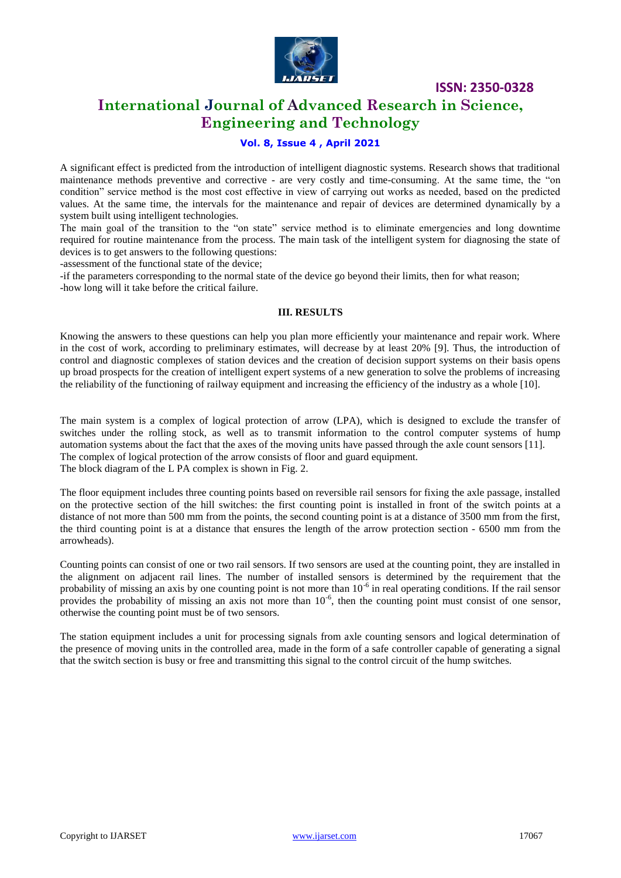

# **International Journal of Advanced Research in Science, Engineering and Technology**

### **Vol. 8, Issue 4 , April 2021**

A significant effect is predicted from the introduction of intelligent diagnostic systems. Research shows that traditional maintenance methods preventive and corrective - are very costly and time-consuming. At the same time, the "on condition" service method is the most cost effective in view of carrying out works as needed, based on the predicted values. At the same time, the intervals for the maintenance and repair of devices are determined dynamically by a system built using intelligent technologies.

The main goal of the transition to the "on state" service method is to eliminate emergencies and long downtime required for routine maintenance from the process. The main task of the intelligent system for diagnosing the state of devices is to get answers to the following questions:

-assessment of the functional state of the device;

-if the parameters corresponding to the normal state of the device go beyond their limits, then for what reason; -how long will it take before the critical failure.

#### **III. RESULTS**

Knowing the answers to these questions can help you plan more efficiently your maintenance and repair work. Where in the cost of work, according to preliminary estimates, will decrease by at least 20% [9]. Thus, the introduction of control and diagnostic complexes of station devices and the creation of decision support systems on their basis opens up broad prospects for the creation of intelligent expert systems of a new generation to solve the problems of increasing the reliability of the functioning of railway equipment and increasing the efficiency of the industry as a whole [10].

The main system is a complex of logical protection of arrow (LPA), which is designed to exclude the transfer of switches under the rolling stock, as well as to transmit information to the control computer systems of hump automation systems about the fact that the axes of the moving units have passed through the axle count sensors [11]. The complex of logical protection of the arrow consists of floor and guard equipment. The block diagram of the L PA complex is shown in Fig. 2.

The floor equipment includes three counting points based on reversible rail sensors for fixing the axle passage, installed on the protective section of the hill switches: the first counting point is installed in front of the switch points at a distance of not more than 500 mm from the points, the second counting point is at a distance of 3500 mm from the first, the third counting point is at a distance that ensures the length of the arrow protection section - 6500 mm from the arrowheads).

Counting points can consist of one or two rail sensors. If two sensors are used at the counting point, they are installed in the alignment on adjacent rail lines. The number of installed sensors is determined by the requirement that the probability of missing an axis by one counting point is not more than  $10^{-6}$  in real operating conditions. If the rail sensor provides the probability of missing an axis not more than  $10^{-6}$ , then the counting point must consist of one sensor, otherwise the counting point must be of two sensors.

The station equipment includes a unit for processing signals from axle counting sensors and logical determination of the presence of moving units in the controlled area, made in the form of a safe controller capable of generating a signal that the switch section is busy or free and transmitting this signal to the control circuit of the hump switches.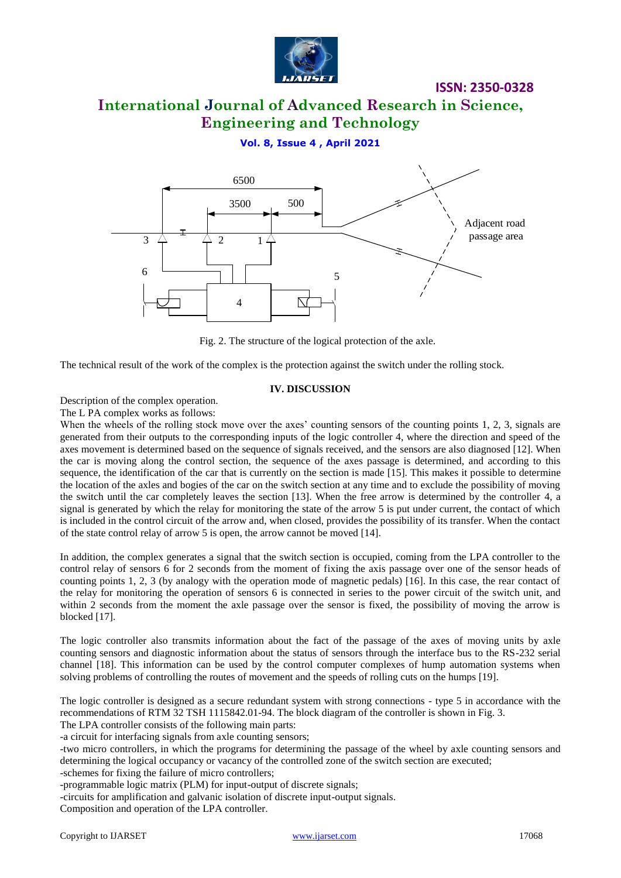

# **International Journal of Advanced Research in Science, Engineering and Technology**

### **Vol. 8, Issue 4 , April 2021**



Fig. 2. The structure of the logical protection of the axle.

The technical result of the work of the complex is the protection against the switch under the rolling stock.

#### **IV. DISCUSSION**

Description of the complex operation.

The L PA complex works as follows:

Copyright to IJARSET [www.ijarset.com](http://www.ijarset.com/) 17068 3 2 1 When the wheels of the rolling stock move over the axes' counting sensors of the counting points 1, 2, 3, signals are generated from their outputs to the corresponding inputs of the logic controller 4, where the direction and speed of the axes movement is determined based on the sequence of signals received, and the sensors are also diagnosed [12]. When the car is moving along the control section, the sequence of the axes passage is determined, and according to this sequence, the identification of the car that is currently on the section is made [15]. This makes it possible to determine the location of the axles and bogies of the car on the switch section at any time and to exclude the possibility of moving the switch until the car completely leaves the section [13]. When the free arrow is determined by the controller 4, a signal is generated by which the relay for monitoring the state of the arrow 5 is put under current, the contact of which is included in the control circuit of the arrow and, when closed, provides the possibility of its transfer. When the contact of the state control relay of arrow 5 is open, the arrow cannot be moved [14].

In addition, the complex generates a signal that the switch section is occupied, coming from the LPA controller to the control relay of sensors 6 for 2 seconds from the moment of fixing the axis passage over one of the sensor heads of counting points 1, 2, 3 (by analogy with the operation mode of magnetic pedals) [16]. In this case, the rear contact of the relay for monitoring the operation of sensors 6 is connected in series to the power circuit of the switch unit, and within 2 seconds from the moment the axle passage over the sensor is fixed, the possibility of moving the arrow is blocked [17].

The logic controller also transmits information about the fact of the passage of the axes of moving units by axle counting sensors and diagnostic information about the status of sensors through the interface bus to the RS-232 serial channel [18]. This information can be used by the control computer complexes of hump automation systems when solving problems of controlling the routes of movement and the speeds of rolling cuts on the humps [19].

The logic controller is designed as a secure redundant system with strong connections - type 5 in accordance with the recommendations of RTM 32 TSH 1115842.01-94. The block diagram of the controller is shown in Fig. 3.

The LPA controller consists of the following main parts:

-a circuit for interfacing signals from axle counting sensors;

-two micro controllers, in which the programs for determining the passage of the wheel by axle counting sensors and determining the logical occupancy or vacancy of the controlled zone of the switch section are executed;

-schemes for fixing the failure of micro controllers;

-programmable logic matrix (PLM) for input-output of discrete signals;

-circuits for amplification and galvanic isolation of discrete input-output signals.

Composition and operation of the LPA controller.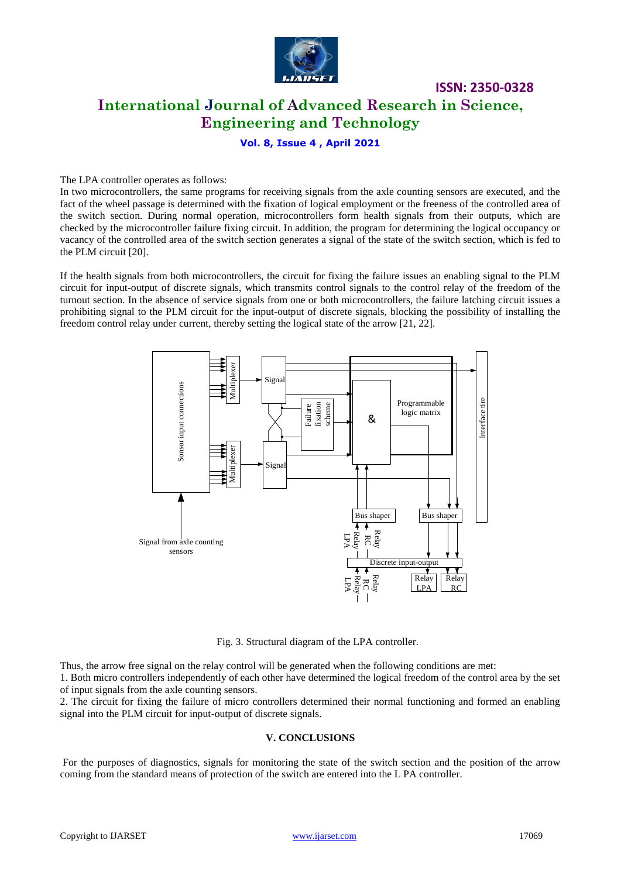

# **International Journal of Advanced Research in Science, Engineering and Technology**

**ISSN: 2350-0328**

### **Vol. 8, Issue 4 , April 2021**

The LPA controller operates as follows:

In two microcontrollers, the same programs for receiving signals from the axle counting sensors are executed, and the fact of the wheel passage is determined with the fixation of logical employment or the freeness of the controlled area of the switch section. During normal operation, microcontrollers form health signals from their outputs, which are checked by the microcontroller failure fixing circuit. In addition, the program for determining the logical occupancy or vacancy of the controlled area of the switch section generates a signal of the state of the switch section, which is fed to the PLM circuit [20].

If the health signals from both microcontrollers, the circuit for fixing the failure issues an enabling signal to the PLM circuit for input-output of discrete signals, which transmits control signals to the control relay of the freedom of the turnout section. In the absence of service signals from one or both microcontrollers, the failure latching circuit issues a prohibiting signal to the PLM circuit for the input-output of discrete signals, blocking the possibility of installing the freedom control relay under current, thereby setting the logical state of the arrow [21, 22].



Fig. 3. Structural diagram of the LPA controller.

Thus, the arrow free signal on the relay control will be generated when the following conditions are met:

1. Both micro controllers independently of each other have determined the logical freedom of the control area by the set of input signals from the axle counting sensors.

2. The circuit for fixing the failure of micro controllers determined their normal functioning and formed an enabling signal into the PLM circuit for input-output of discrete signals.

#### **V. CONCLUSIONS**

For the purposes of diagnostics, signals for monitoring the state of the switch section and the position of the arrow coming from the standard means of protection of the switch are entered into the L PA controller.